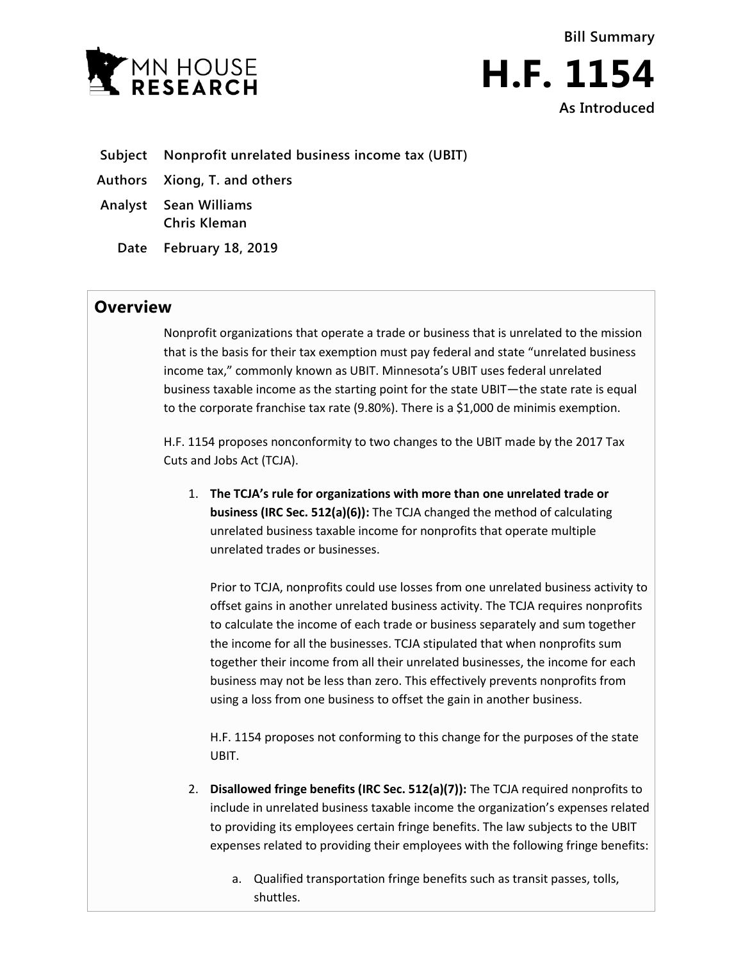



- **Subject Nonprofit unrelated business income tax (UBIT)**
- **Authors Xiong, T. and others**
- **Analyst Sean Williams Chris Kleman**
	- **Date February 18, 2019**

## **Overview**

Nonprofit organizations that operate a trade or business that is unrelated to the mission that is the basis for their tax exemption must pay federal and state "unrelated business income tax," commonly known as UBIT. Minnesota's UBIT uses federal unrelated business taxable income as the starting point for the state UBIT—the state rate is equal to the corporate franchise tax rate (9.80%). There is a \$1,000 de minimis exemption.

H.F. 1154 proposes nonconformity to two changes to the UBIT made by the 2017 Tax Cuts and Jobs Act (TCJA).

1. **The TCJA's rule for organizations with more than one unrelated trade or business (IRC Sec. 512(a)(6)):** The TCJA changed the method of calculating unrelated business taxable income for nonprofits that operate multiple unrelated trades or businesses.

Prior to TCJA, nonprofits could use losses from one unrelated business activity to offset gains in another unrelated business activity. The TCJA requires nonprofits to calculate the income of each trade or business separately and sum together the income for all the businesses. TCJA stipulated that when nonprofits sum together their income from all their unrelated businesses, the income for each business may not be less than zero. This effectively prevents nonprofits from using a loss from one business to offset the gain in another business.

H.F. 1154 proposes not conforming to this change for the purposes of the state UBIT.

- 2. **Disallowed fringe benefits (IRC Sec. 512(a)(7)):** The TCJA required nonprofits to include in unrelated business taxable income the organization's expenses related to providing its employees certain fringe benefits. The law subjects to the UBIT expenses related to providing their employees with the following fringe benefits:
	- a. Qualified transportation fringe benefits such as transit passes, tolls, shuttles.